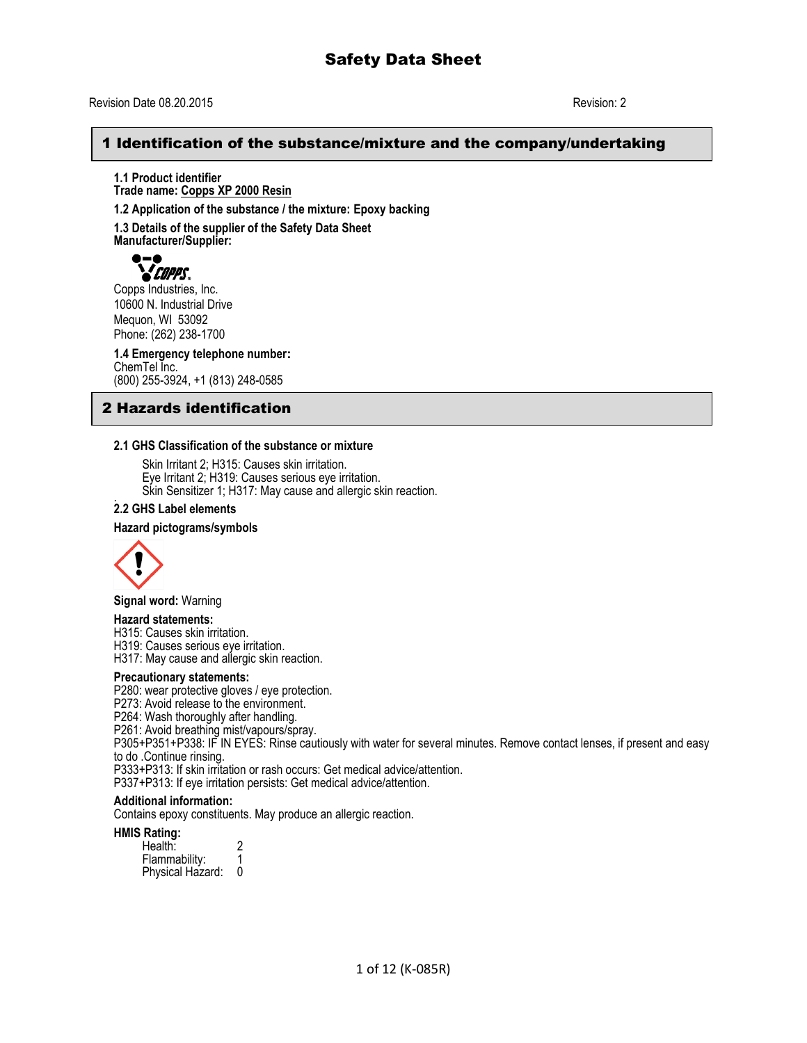### Revision Date 08.20.2015 Revision: 2

## 1 Identification of the substance/mixture and the company/undertaking

**1.1 Product identifier Trade name: Copps XP 2000 Resin**

**1.2 Application of the substance / the mixture: Epoxy backing**

**1.3 Details of the supplier of the Safety Data Sheet**

**Manufacturer/Supplier:**



Copps Industries, Inc. 10600 N. Industrial Drive Mequon, WI 53092 Phone: (262) 238-1700

**1.4 Emergency telephone number:** ChemTel Inc. (800) 255-3924, +1 (813) 248-0585

# 2 Hazards identification

#### **2.1 GHS Classification of the substance or mixture**

Skin Irritant 2; H315: Causes skin irritation. Eye Irritant 2; H319: Causes serious eye irritation. Skin Sensitizer 1; H317: May cause and allergic skin reaction.

#### . **2.2 GHS Label elements**

#### **Hazard pictograms/symbols**



**Signal word:** Warning

#### **Hazard statements:**

H315: Causes skin irritation. H319: Causes serious eye irritation. H317: May cause and allergic skin reaction.

#### **Precautionary statements:**

P280: wear protective gloves / eye protection.

P273: Avoid release to the environment.

P264: Wash thoroughly after handling.

P261: Avoid breathing mist/vapours/spray.

P305+P351+P338: IF IN EYES: Rinse cautiously with water for several minutes. Remove contact lenses, if present and easy to do .Continue rinsing.

P333+P313: If skin irritation or rash occurs: Get medical advice/attention.

P337+P313: If eye irritation persists: Get medical advice/attention.

#### **Additional information:**

Contains epoxy constituents. May produce an allergic reaction.

#### **HMIS Rating:**

Health: 2<br>Flammability: 1 Flammability: 1 Physical Hazard: 0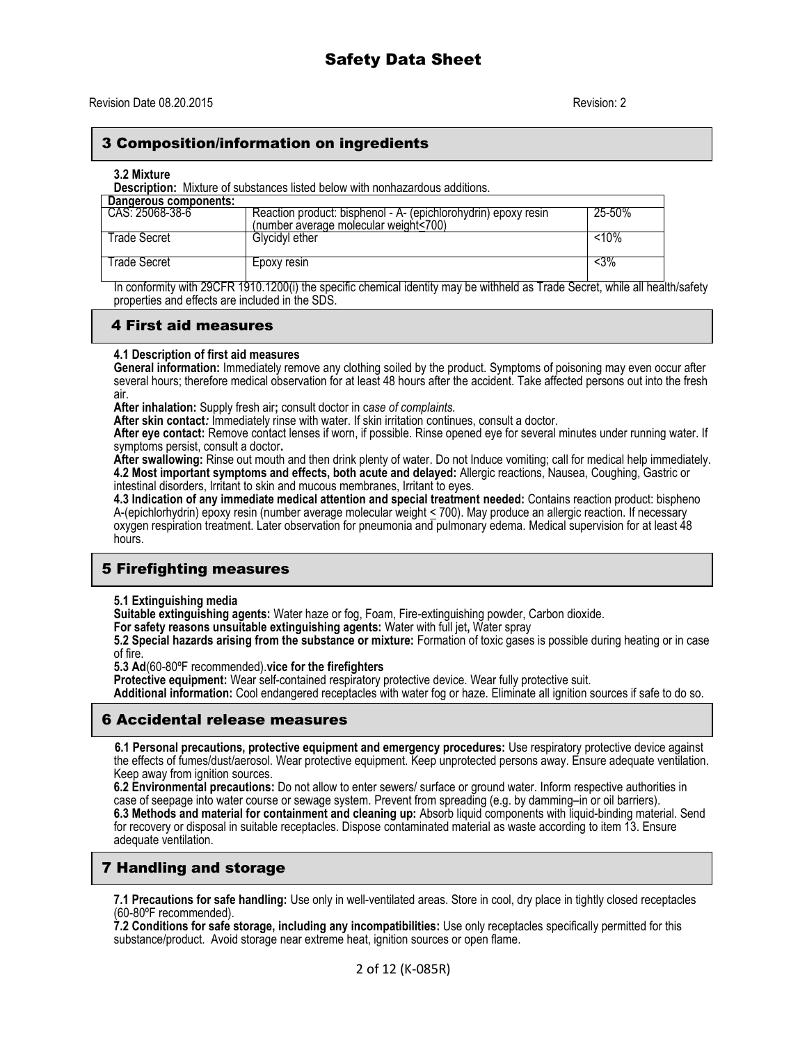## 3 Composition/information on ingredients

#### **3.2 Mixture**

**Description:** Mixture of substances listed below with nonhazardous additions.

| Dangerous components: |                                                                                                         |        |
|-----------------------|---------------------------------------------------------------------------------------------------------|--------|
| CAS: 25068-38-6       | Reaction product: bisphenol - A- (epichlorohydrin) epoxy resin<br>(number average molecular weight<700) | 25-50% |
| Frade Secret          | Glycidyl ether                                                                                          | <10%   |
| ⊺rade Secret          | Epoxy resin                                                                                             | <3%    |

In conformity with 29CFR 1910.1200(i) the specific chemical identity may be withheld as Trade Secret, while all health/safety properties and effects are included in the SDS.

### 4 First aid measures

#### **4.1 Description of first aid measures**

**General information:** Immediately remove any clothing soiled by the product. Symptoms of poisoning may even occur after several hours; therefore medical observation for at least 48 hours after the accident. Take affected persons out into the fresh air.

**After inhalation:** Supply fresh air**;** consult doctor in c*ase of complaints.*

**After skin contact***:* Immediately rinse with water. If skin irritation continues, consult a doctor.

**After eye contact:** Remove contact lenses if worn, if possible. Rinse opened eye for several minutes under running water. If symptoms persist, consult a doctor**.**

**After swallowing:** Rinse out mouth and then drink plenty of water. Do not Induce vomiting; call for medical help immediately. **4.2 Most important symptoms and effects, both acute and delayed:** Allergic reactions, Nausea, Coughing, Gastric or intestinal disorders, Irritant to skin and mucous membranes, Irritant to eyes.

**4.3 Indication of any immediate medical attention and special treatment needed:** Contains reaction product: bispheno A-(epichlorhydrin) epoxy resin (number average molecular weight < 700). May produce an allergic reaction. If necessary oxygen respiration treatment. Later observation for pneumonia and pulmonary edema. Medical supervision for at least 48 hours.

# 5 Firefighting measures

**5.1 Extinguishing media**

**Suitable extinguishing agents:** Water haze or fog, Foam, Fire-extinguishing powder, Carbon dioxide.

**For safety reasons unsuitable extinguishing agents:** Water with full jet**,** Water spray

**5.2 Special hazards arising from the substance or mixture:** Formation of toxic gases is possible during heating or in case of fire.

**5.3 Ad**(60-80ºF recommended).**vice for the firefighters**

**Protective equipment:** Wear self-contained respiratory protective device. Wear fully protective suit.

**Additional information:** Cool endangered receptacles with water fog or haze. Eliminate all ignition sources if safe to do so.

# 6 Accidental release measures

 **6.1 Personal precautions, protective equipment and emergency procedures:** Use respiratory protective device against the effects of fumes/dust/aerosol. Wear protective equipment. Keep unprotected persons away. Ensure adequate ventilation. Keep away from ignition sources.

**6.2 Environmental precautions:** Do not allow to enter sewers/ surface or ground water. Inform respective authorities in case of seepage into water course or sewage system. Prevent from spreading (e.g. by damming–in or oil barriers). **6.3 Methods and material for containment and cleaning up:** Absorb liquid components with liquid-binding material. Send for recovery or disposal in suitable receptacles. Dispose contaminated material as waste according to item 13. Ensure adequate ventilation.

# 7 Handling and storage

**7.1 Precautions for safe handling:** Use only in well-ventilated areas. Store in cool, dry place in tightly closed receptacles (60-80ºF recommended).

**7.2 Conditions for safe storage, including any incompatibilities:** Use only receptacles specifically permitted for this substance/product. Avoid storage near extreme heat, ignition sources or open flame.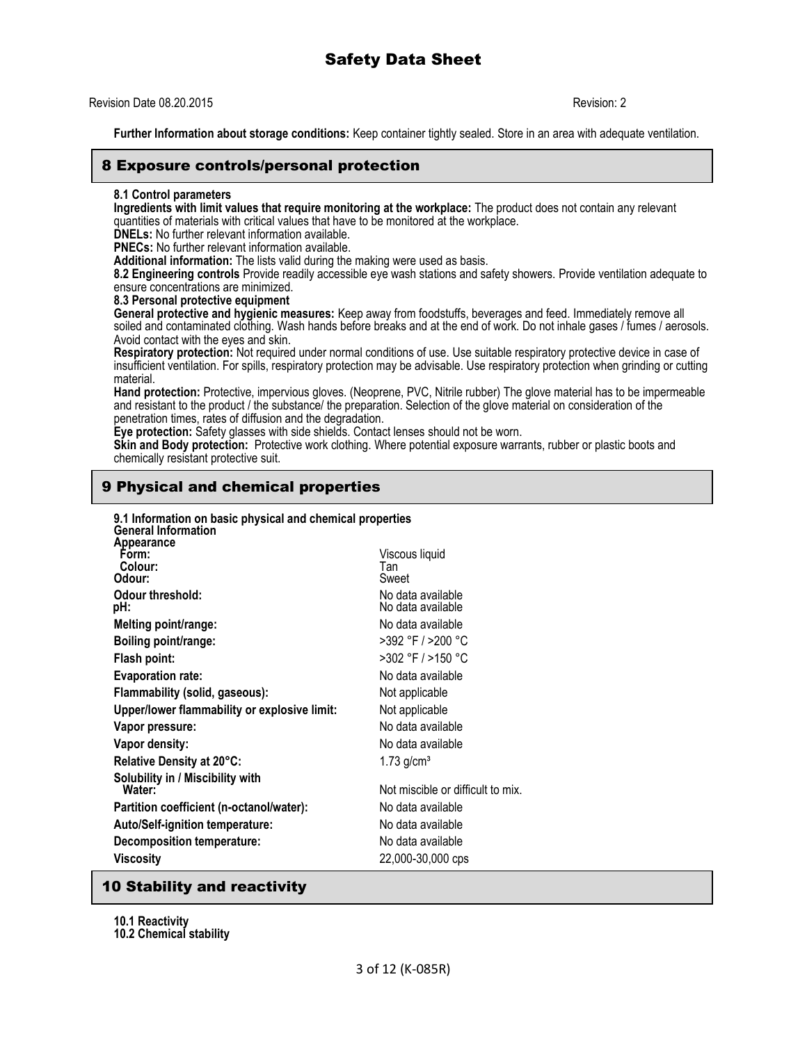## Revision Date 08.20.2015 Revision: 2

**Further Information about storage conditions:** Keep container tightly sealed. Store in an area with adequate ventilation.

## 8 Exposure controls/personal protection

#### **8.1 Control parameters**

**Ingredients with limit values that require monitoring at the workplace:** The product does not contain any relevant quantities of materials with critical values that have to be monitored at the workplace.

**DNELs:** No further relevant information available.

**PNECs:** No further relevant information available.

**Additional information:** The lists valid during the making were used as basis.

**8.2 Engineering controls** Provide readily accessible eye wash stations and safety showers. Provide ventilation adequate to ensure concentrations are minimized.

#### **8.3 Personal protective equipment**

**General protective and hygienic measures:** Keep away from foodstuffs, beverages and feed. Immediately remove all soiled and contaminated clothing. Wash hands before breaks and at the end of work. Do not inhale gases / fumes / aerosols. Avoid contact with the eyes and skin.

**Respiratory protection:** Not required under normal conditions of use. Use suitable respiratory protective device in case of insufficient ventilation. For spills, respiratory protection may be advisable. Use respiratory protection when grinding or cutting material.

**Hand protection:** Protective, impervious gloves. (Neoprene, PVC, Nitrile rubber) The glove material has to be impermeable and resistant to the product / the substance/ the preparation. Selection of the glove material on consideration of the penetration times, rates of diffusion and the degradation.

**Eye protection:** Safety glasses with side shields. Contact lenses should not be worn.

**Skin and Body protection:** Protective work clothing. Where potential exposure warrants, rubber or plastic boots and chemically resistant protective suit.

# 9 Physical and chemical properties

| 9.1 Information on basic physical and chemical properties<br><b>General Information</b> |                                              |                                        |
|-----------------------------------------------------------------------------------------|----------------------------------------------|----------------------------------------|
|                                                                                         | Appearance<br>Form:<br>Colour:<br>Odour:     | Viscous liquid<br>Tan<br>Sweet         |
|                                                                                         | Odour threshold:<br>pH:                      | No data available<br>No data available |
|                                                                                         | Melting point/range:                         | No data available                      |
|                                                                                         | Boiling point/range:                         | >392 °F / >200 °C                      |
|                                                                                         | Flash point:                                 | >302 °F / >150 °C                      |
|                                                                                         | <b>Evaporation rate:</b>                     | No data available                      |
|                                                                                         | Flammability (solid, gaseous):               | Not applicable                         |
|                                                                                         | Upper/lower flammability or explosive limit: | Not applicable                         |
|                                                                                         | Vapor pressure:                              | No data available                      |
|                                                                                         | Vapor density:                               | No data available                      |
|                                                                                         | Relative Density at 20°C:                    | $1.73$ g/cm <sup>3</sup>               |
|                                                                                         | Solubility in / Miscibility with<br>Water:   | Not miscible or difficult to mix.      |
|                                                                                         | Partition coefficient (n-octanol/water):     | No data available                      |
|                                                                                         | <b>Auto/Self-ignition temperature:</b>       | No data available                      |
|                                                                                         | Decomposition temperature:                   | No data available                      |
|                                                                                         | Viscosity                                    | 22,000-30,000 cps                      |
|                                                                                         |                                              |                                        |

# 10 Stability and reactivity

**10.1 Reactivity**

**10.2 Chemical stability**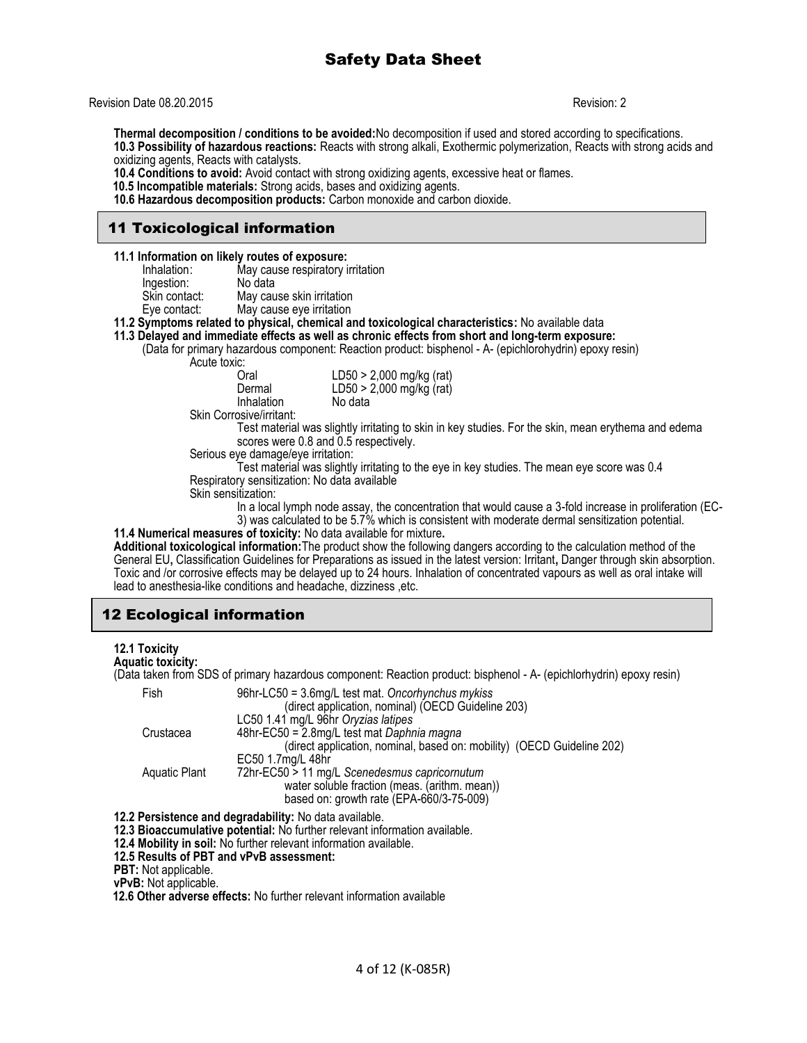Revision Date 08.20.2015 Revision: 2

**Thermal decomposition / conditions to be avoided:**No decomposition if used and stored according to specifications. **10.3 Possibility of hazardous reactions:** Reacts with strong alkali, Exothermic polymerization, Reacts with strong acids and oxidizing agents, Reacts with catalysts.

**10.4 Conditions to avoid:** Avoid contact with strong oxidizing agents, excessive heat or flames.

 **10.5 Incompatible materials:** Strong acids, bases and oxidizing agents.

**10.6 Hazardous decomposition products:** Carbon monoxide and carbon dioxide.

# 11 Toxicological information

- **11.1 Information on likely routes of exposure:**
	- Inhalation: May cause respiratory irritation<br>Ingestion: No data
	- Ingestion:<br>Skin contact:
		- May cause skin irritation
	- Eye contact: May cause eye irritation

**11.2 Symptoms related to physical, chemical and toxicological characteristics:** No available data

**11.3 Delayed and immediate effects as well as chronic effects from short and long-term exposure:** 

(Data for primary hazardous component: Reaction product: bisphenol - A- (epichlorohydrin) epoxy resin)

Acute toxic:

| u.         |                            |
|------------|----------------------------|
| Oral       | LD50 > 2,000 mg/kg (rat)   |
| Dermal     | $LD50 > 2,000$ mg/kg (rat) |
| Inhalation | No data                    |

Skin Corrosive/irritant:

Test material was slightly irritating to skin in key studies. For the skin, mean erythema and edema scores were 0.8 and 0.5 respectively.

Serious eye damage/eye irritation:

Test material was slightly irritating to the eye in key studies. The mean eye score was 0.4 Respiratory sensitization: No data available

Skin sensitization:

In a local lymph node assay, the concentration that would cause a 3-fold increase in proliferation (EC-3) was calculated to be 5.7% which is consistent with moderate dermal sensitization potential.

**11.4 Numerical measures of toxicity:** No data available for mixture**.**

**Additional toxicological information:**The product show the following dangers according to the calculation method of the General EU**,** Classification Guidelines for Preparations as issued in the latest version: Irritant**,** Danger through skin absorption. Toxic and /or corrosive effects may be delayed up to 24 hours. Inhalation of concentrated vapours as well as oral intake will lead to anesthesia-like conditions and headache, dizziness ,etc.

# 12 Ecological information

#### **12.1 Toxicity**

#### **Aquatic toxicity:**

(Data taken from SDS of primary hazardous component: Reaction product: bisphenol - A- (epichlorhydrin) epoxy resin)

| Fish          | 96hr-LC50 = 3.6mg/L test mat. Oncorhynchus mykiss<br>(direct application, nominal) (OECD Guideline 203) |
|---------------|---------------------------------------------------------------------------------------------------------|
|               | LC50 1.41 mg/L 96hr Oryzias latipes                                                                     |
| Crustacea     | 48hr-EC50 = 2.8mg/L test mat Daphnia magna                                                              |
|               | (direct application, nominal, based on: mobility) (OECD Guideline 202)                                  |
|               | EC50 1.7mg/L 48hr                                                                                       |
| Aquatic Plant | 72hr-EC50 > 11 mg/L Scenedesmus capricornutum                                                           |
|               | water soluble fraction (meas. (arithm. mean))                                                           |
|               | based on: growth rate (EPA-660/3-75-009)                                                                |

**12.2 Persistence and degradability:** No data available.

**12.3 Bioaccumulative potential:** No further relevant information available.

**12.4 Mobility in soil:** No further relevant information available.

**12.5 Results of PBT and vPvB assessment:**

**PBT:** Not applicable.

**vPvB:** Not applicable.

 **12.6 Other adverse effects:** No further relevant information available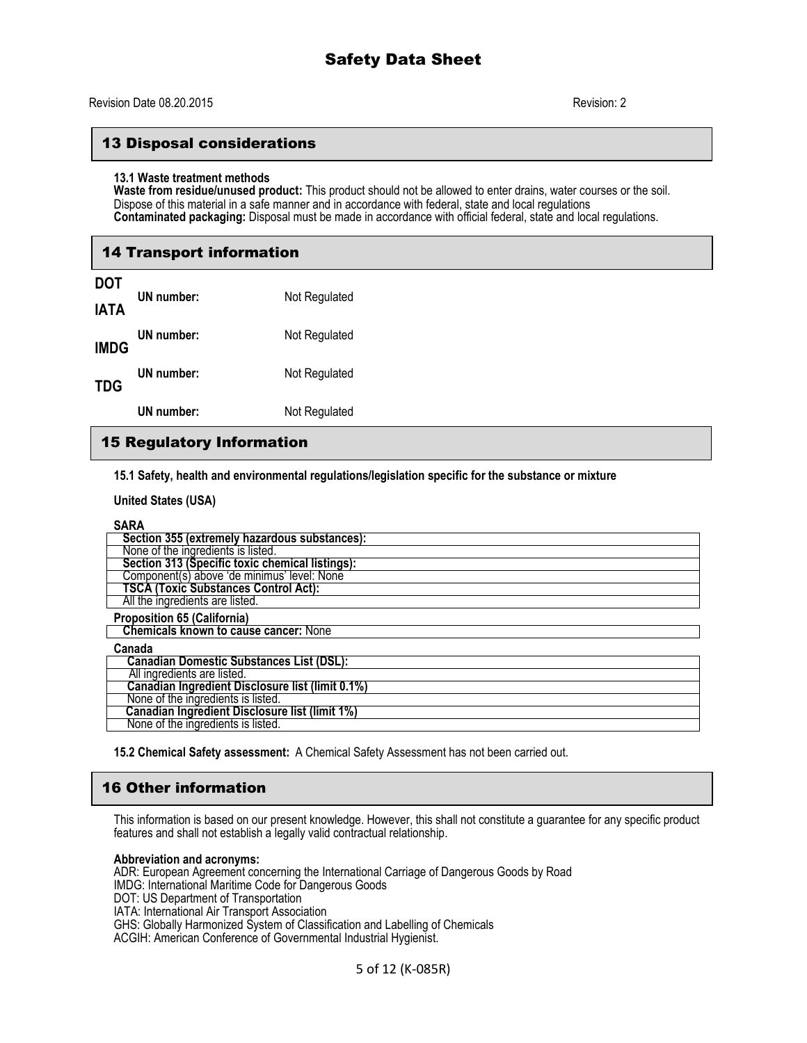## 13 Disposal considerations

#### **13.1 Waste treatment methods**

**Waste from residue/unused product:** This product should not be allowed to enter drains, water courses or the soil. Dispose of this material in a safe manner and in accordance with federal, state and local regulations **Contaminated packaging:** Disposal must be made in accordance with official federal, state and local regulations.

# 14 Transport information

| <b>DOT</b><br><b>IATA</b> | UN number: | Not Regulated |
|---------------------------|------------|---------------|
| <b>IMDG</b>               | UN number: | Not Regulated |
| <b>TDG</b>                | UN number: | Not Regulated |
|                           | UN number: | Not Regulated |

# 15 Regulatory Information

**15.1 Safety, health and environmental regulations/legislation specific for the substance or mixture**

**United States (USA)**

| Section 355 (extremely hazardous substances):         |  |  |
|-------------------------------------------------------|--|--|
| None of the ingredients is listed.                    |  |  |
| Section 313 (Specific toxic chemical listings):       |  |  |
| Component(s) above 'de minimus' level: None           |  |  |
| TSCA (Toxic Substances Control Act):                  |  |  |
| All the ingredients are listed.                       |  |  |
| <b>Proposition 65 (California)</b>                    |  |  |
| <b>Chemicals known to cause cancer: None</b>          |  |  |
| Canada                                                |  |  |
| <b>Canadian Domestic Substances List (DSL):</b>       |  |  |
| All ingredients are listed.                           |  |  |
| Canadian Ingredient Disclosure list (limit 0.1%)      |  |  |
| None of the ingredients is listed.                    |  |  |
| <b>Canadian Ingredient Disclosure list (limit 1%)</b> |  |  |
| None of the ingredients is listed.                    |  |  |

**15.2 Chemical Safety assessment:** A Chemical Safety Assessment has not been carried out.

# 16 Other information

This information is based on our present knowledge. However, this shall not constitute a guarantee for any specific product features and shall not establish a legally valid contractual relationship.

#### **Abbreviation and acronyms:**

ADR: European Agreement concerning the International Carriage of Dangerous Goods by Road IMDG: International Maritime Code for Dangerous Goods DOT: US Department of Transportation IATA: International Air Transport Association GHS: Globally Harmonized System of Classification and Labelling of Chemicals ACGIH: American Conference of Governmental Industrial Hygienist.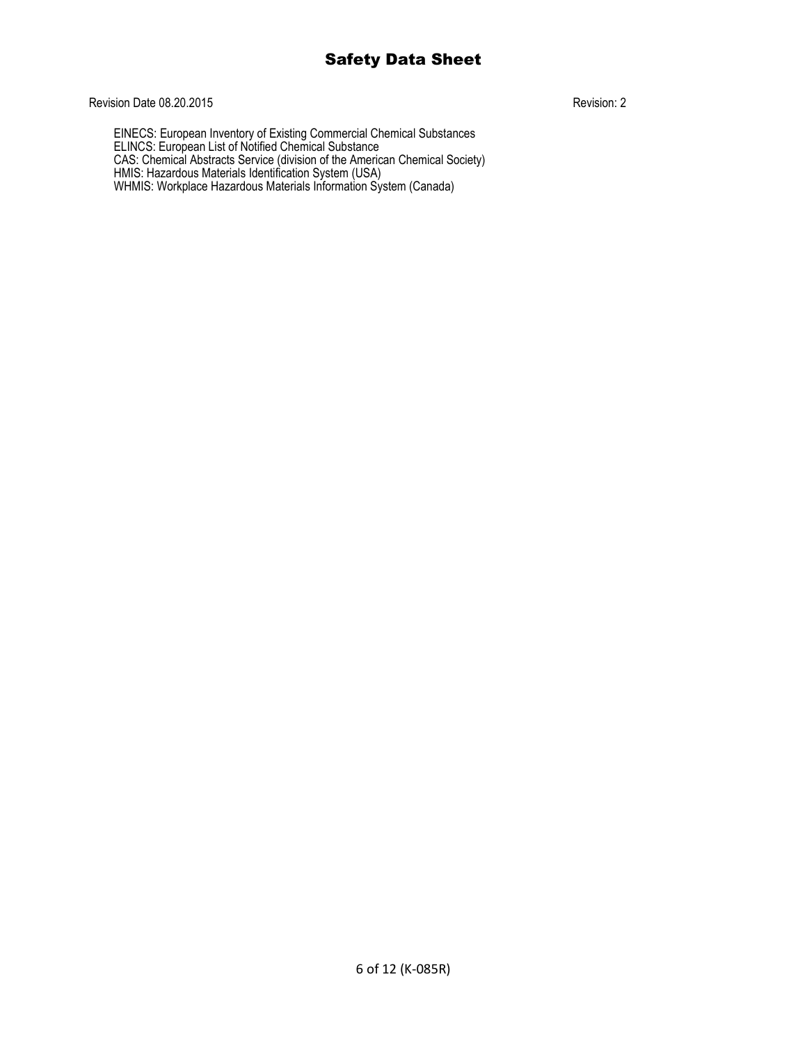## Revision Date 08.20.2015 Revision: 2

EINECS: European Inventory of Existing Commercial Chemical Substances ELINCS: European List of Notified Chemical Substance CAS: Chemical Abstracts Service (division of the American Chemical Society) HMIS: Hazardous Materials Identification System (USA) WHMIS: Workplace Hazardous Materials Information System (Canada)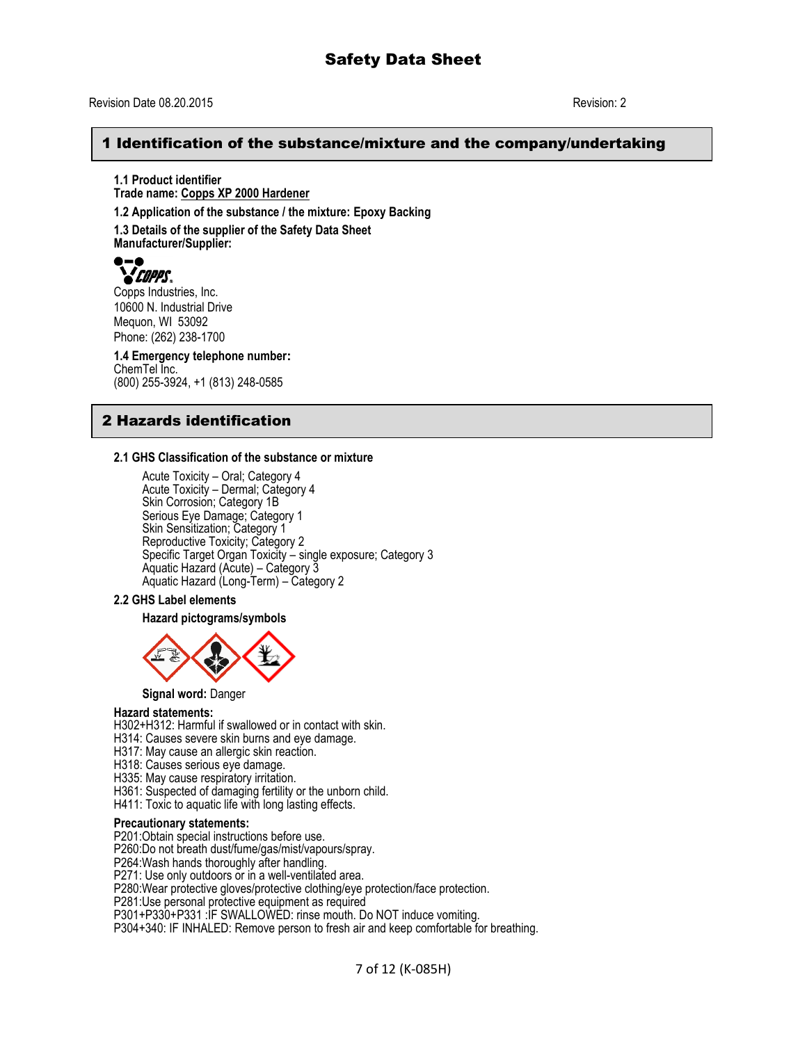#### Revision Date 08.20.2015 Revision: 2

# A 1 Identification of the substance/mixture and the company/undertaking

**1.1 Product identifier Trade name: Copps XP 2000 Hardener 1.2 Application of the substance / the mixture: Epoxy Backing**

**1.3 Details of the supplier of the Safety Data Sheet Manufacturer/Supplier:**



Copps Industries, Inc. 10600 N. Industrial Drive Mequon, WI 53092 Phone: (262) 238-1700

**1.4 Emergency telephone number:** ChemTel Inc. (800) 255-3924, +1 (813) 248-0585

# 2 Hazards identification

#### **2.1 GHS Classification of the substance or mixture**

Acute Toxicity – Oral; Category 4 Acute Toxicity – Dermal; Category 4 Skin Corrosion; Category 1B Serious Eye Damage; Category 1 Skin Sensitization; Category 1 Reproductive Toxicity; Category 2 Specific Target Organ Toxicity – single exposure; Category 3 Aquatic Hazard (Acute) – Category 3 Aquatic Hazard (Long-Term) – Category 2

#### **2.2 GHS Label elements**

**Hazard pictograms/symbols**



**Signal word:** Danger

#### **Hazard statements:**

H302+H312: Harmful if swallowed or in contact with skin.

- H314: Causes severe skin burns and eye damage.
- H317: May cause an allergic skin reaction.
- H318: Causes serious eye damage.
- H335: May cause respiratory irritation.
- H361: Suspected of damaging fertility or the unborn child.
- H411: Toxic to aquatic life with long lasting effects.

#### **Precautionary statements:**

P201:Obtain special instructions before use.

P260:Do not breath dust/fume/gas/mist/vapours/spray.

P264:Wash hands thoroughly after handling.

P271: Use only outdoors or in a well-ventilated area.

P280:Wear protective gloves/protective clothing/eye protection/face protection.

P281:Use personal protective equipment as required

P301+P330+P331 :IF SWALLOWED: rinse mouth. Do NOT induce vomiting.

P304+340: IF INHALED: Remove person to fresh air and keep comfortable for breathing.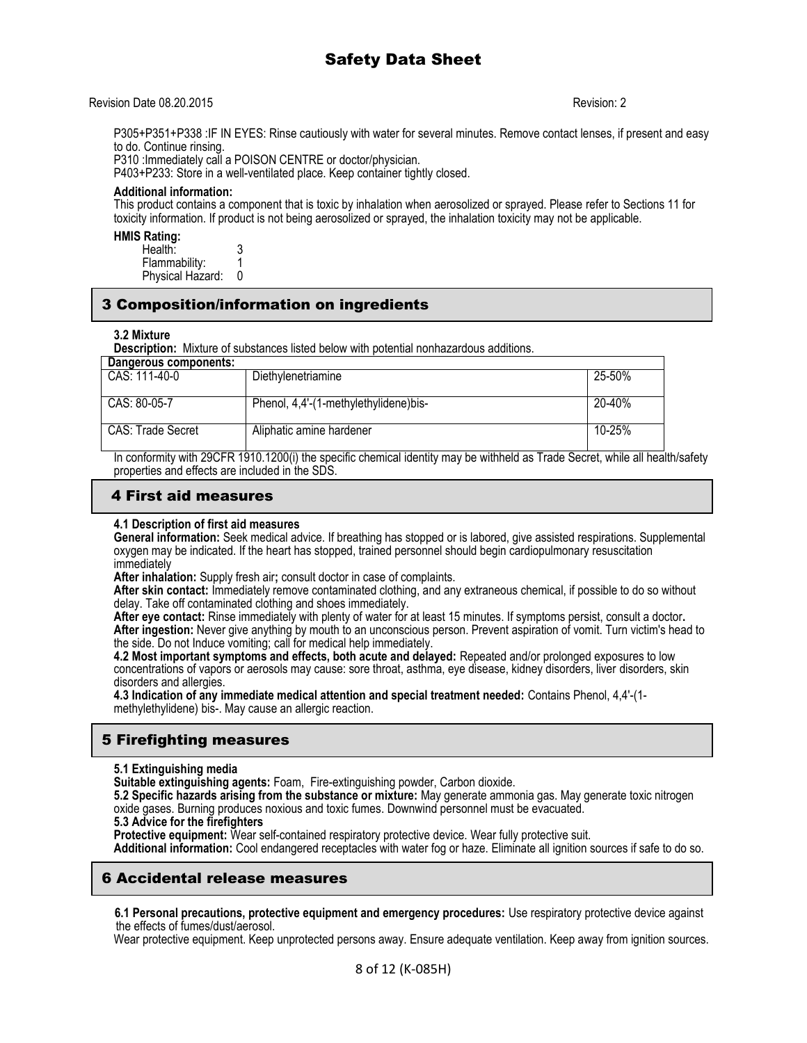#### Revision Date 08.20.2015 Revision: 2

P305+P351+P338 :IF IN EYES: Rinse cautiously with water for several minutes. Remove contact lenses, if present and easy to do. Continue rinsing.

P310 :Immediately call a POISON CENTRE or doctor/physician.

P403+P233: Store in a well-ventilated place. Keep container tightly closed.

#### **Additional information:**

This product contains a component that is toxic by inhalation when aerosolized or sprayed. Please refer to Sections 11 for toxicity information. If product is not being aerosolized or sprayed, the inhalation toxicity may not be applicable.

#### **HMIS Rating:**

| Health:          |  |
|------------------|--|
| Flammability:    |  |
| Physical Hazard: |  |

## 3 Composition/information on ingredients

#### **3.2 Mixture**

**Description:** Mixture of substances listed below with potential nonhazardous additions.

| Dangerous components: |                                       |        |
|-----------------------|---------------------------------------|--------|
| CAS: 111-40-0         | Diethylenetriamine                    | 25-50% |
| CAS: 80-05-7          | Phenol, 4,4'-(1-methylethylidene)bis- | 20-40% |
| CAS: Trade Secret     | Aliphatic amine hardener              | 10-25% |

In conformity with 29CFR 1910.1200(i) the specific chemical identity may be withheld as Trade Secret, while all health/safety properties and effects are included in the SDS.

## 4 First aid measures

#### **4.1 Description of first aid measures**

**General information:** Seek medical advice. If breathing has stopped or is labored, give assisted respirations. Supplemental oxygen may be indicated. If the heart has stopped, trained personnel should begin cardiopulmonary resuscitation immediately

**After inhalation:** Supply fresh air**;** consult doctor in case of complaints.

**After skin contact:** Immediately remove contaminated clothing, and any extraneous chemical, if possible to do so without delay. Take off contaminated clothing and shoes immediately.

**After eye contact:** Rinse immediately with plenty of water for at least 15 minutes. If symptoms persist, consult a doctor**.** After ingestion: Never give anything by mouth to an unconscious person. Prevent aspiration of vomit. Turn victim's head to the side. Do not Induce vomiting; call for medical help immediately.

**4.2 Most important symptoms and effects, both acute and delayed:** Repeated and/or prolonged exposures to low concentrations of vapors or aerosols may cause: sore throat, asthma, eye disease, kidney disorders, liver disorders, skin disorders and allergies.

**4.3 Indication of any immediate medical attention and special treatment needed:** Contains Phenol, 4,4'-(1 methylethylidene) bis-. May cause an allergic reaction.

# 5 Firefighting measures

#### **5.1 Extinguishing media**

**Suitable extinguishing agents:** Foam, Fire-extinguishing powder, Carbon dioxide.

**5.2 Specific hazards arising from the substance or mixture:** May generate ammonia gas. May generate toxic nitrogen oxide gases. Burning produces noxious and toxic fumes. Downwind personnel must be evacuated.

### **5.3 Advice for the firefighters**

Protective equipment: Wear self-contained respiratory protective device. Wear fully protective suit.

**Additional information:** Cool endangered receptacles with water fog or haze. Eliminate all ignition sources if safe to do so.

### 6 Accidental release measures

 **6.1 Personal precautions, protective equipment and emergency procedures:** Use respiratory protective device against the effects of fumes/dust/aerosol.

Wear protective equipment. Keep unprotected persons away. Ensure adequate ventilation. Keep away from ignition sources.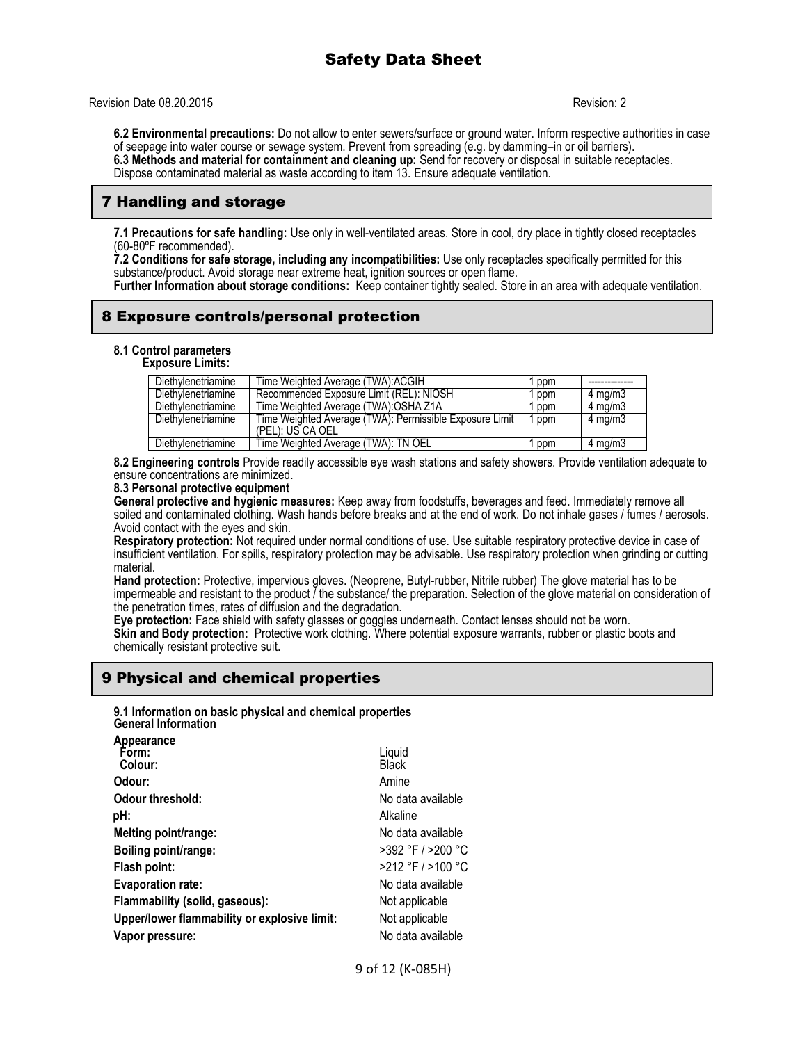Revision Date 08.20.2015 Revision: 2

**6.2 Environmental precautions:** Do not allow to enter sewers/surface or ground water. Inform respective authorities in case of seepage into water course or sewage system. Prevent from spreading (e.g. by damming–in or oil barriers). **6.3 Methods and material for containment and cleaning up:** Send for recovery or disposal in suitable receptacles. Dispose contaminated material as waste according to item 13. Ensure adequate ventilation.

# 7 Handling and storage

**7.1 Precautions for safe handling:** Use only in well-ventilated areas. Store in cool, dry place in tightly closed receptacles (60-80ºF recommended).

**7.2 Conditions for safe storage, including any incompatibilities:** Use only receptacles specifically permitted for this substance/product. Avoid storage near extreme heat, ignition sources or open flame.

**Further Information about storage conditions:** Keep container tightly sealed. Store in an area with adequate ventilation.

# 8 Exposure controls/personal protection

**8.1 Control parameters Exposure Limits:**

| Diethylenetriamine | Time Weighted Average (TWA):ACGIH                       | ppm |                    |
|--------------------|---------------------------------------------------------|-----|--------------------|
| Diethylenetriamine | Recommended Exposure Limit (REL): NIOSH                 | ppm | $4 \text{ ma/m}$ 3 |
| Diethylenetriamine | Time Weighted Average (TWA): OSHA Z1A                   | ppm | $4 \text{ ma/m}$ 3 |
| Diethylenetriamine | Time Weighted Average (TWA): Permissible Exposure Limit | ppm | $4 \text{ mg/m}$   |
|                    | (PEL): US CA OEL                                        |     |                    |
| Diethylenetriamine | Time Weighted Average (TWA): TN OEL                     | ppm | $4 \text{ mg/m}$   |

**8.2 Engineering controls** Provide readily accessible eye wash stations and safety showers. Provide ventilation adequate to ensure concentrations are minimized.

#### **8.3 Personal protective equipment**

**General protective and hygienic measures:** Keep away from foodstuffs, beverages and feed. Immediately remove all soiled and contaminated clothing. Wash hands before breaks and at the end of work. Do not inhale gases / fumes / aerosols. Avoid contact with the eyes and skin.

**Respiratory protection:** Not required under normal conditions of use. Use suitable respiratory protective device in case of insufficient ventilation. For spills, respiratory protection may be advisable. Use respiratory protection when grinding or cutting material.

**Hand protection:** Protective, impervious gloves. (Neoprene, Butyl-rubber, Nitrile rubber) The glove material has to be impermeable and resistant to the product  $\tilde{I}$  the substance/ the preparation. Selection of the glove material on consideration of the penetration times, rates of diffusion and the degradation.

**Eye protection:** Face shield with safety glasses or goggles underneath. Contact lenses should not be worn. **Skin and Body protection:** Protective work clothing. Where potential exposure warrants, rubber or plastic boots and chemically resistant protective suit.

# 9 Physical and chemical properties

**9.1 Information on basic physical and chemical properties**

| <b>General Information</b>                   |                        |
|----------------------------------------------|------------------------|
| Appearance<br>Form:<br>Colour:               | Liquid<br><b>Black</b> |
| Odour:                                       | Amine                  |
| Odour threshold:                             | No data available      |
| pH:                                          | Alkaline               |
| Melting point/range:                         | No data available      |
| Boiling point/range:                         | $>392$ °F / $>200$ °C  |
| Flash point:                                 | $>212$ °F $/$ >100 °C  |
| <b>Evaporation rate:</b>                     | No data available      |
| Flammability (solid, gaseous):               | Not applicable         |
| Upper/lower flammability or explosive limit: | Not applicable         |
| Vapor pressure:                              | No data available      |
|                                              |                        |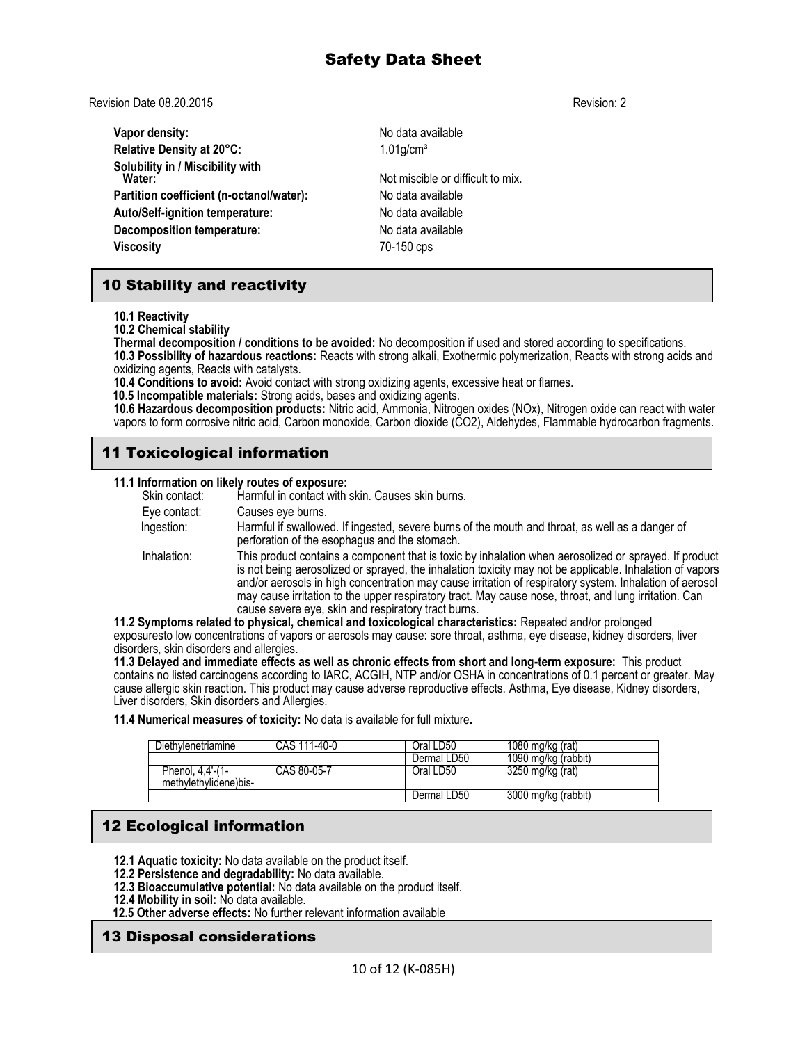Revision Date 08.20.2015 Revision: 2

| Vapor density:                             | No data available                 |
|--------------------------------------------|-----------------------------------|
| Relative Density at 20°C:                  | $1.01$ g/cm <sup>3</sup>          |
| Solubility in / Miscibility with<br>Water: | Not miscible or difficult to mix. |
| Partition coefficient (n-octanol/water):   | No data available                 |
| Auto/Self-ignition temperature:            | No data available                 |
| <b>Decomposition temperature:</b>          | No data available                 |
| <b>Viscosity</b>                           | 70-150 cps                        |
|                                            |                                   |

# 10 Stability and reactivity

**10.1 Reactivity**

**10.2 Chemical stability**

**Thermal decomposition / conditions to be avoided:** No decomposition if used and stored according to specifications. **10.3 Possibility of hazardous reactions:** Reacts with strong alkali, Exothermic polymerization, Reacts with strong acids and oxidizing agents, Reacts with catalysts.

**10.4 Conditions to avoid:** Avoid contact with strong oxidizing agents, excessive heat or flames.

 **10.5 Incompatible materials:** Strong acids, bases and oxidizing agents.

**10.6 Hazardous decomposition products:** Nitric acid, Ammonia, Nitrogen oxides (NOx), Nitrogen oxide can react with water vapors to form corrosive nitric acid, Carbon monoxide, Carbon dioxide (CO2), Aldehydes, Flammable hydrocarbon fragments.

# 11 Toxicological information

#### **11.1 Information on likely routes of exposure:**

|               | <b>TI.I MOTHQUOTI ON MAGIV TOULES OF EXPOSURE.</b>                                                                                                                                                                                                                                                                                                                                                                                                                                           |
|---------------|----------------------------------------------------------------------------------------------------------------------------------------------------------------------------------------------------------------------------------------------------------------------------------------------------------------------------------------------------------------------------------------------------------------------------------------------------------------------------------------------|
| Skin contact: | Harmful in contact with skin. Causes skin burns.                                                                                                                                                                                                                                                                                                                                                                                                                                             |
| Eye contact:  | Causes eye burns.                                                                                                                                                                                                                                                                                                                                                                                                                                                                            |
| Ingestion:    | Harmful if swallowed. If ingested, severe burns of the mouth and throat, as well as a danger of<br>perforation of the esophagus and the stomach.                                                                                                                                                                                                                                                                                                                                             |
| Inhalation:   | This product contains a component that is toxic by inhalation when aerosolized or sprayed. If product<br>is not being aerosolized or sprayed, the inhalation toxicity may not be applicable. Inhalation of vapors<br>and/or aerosols in high concentration may cause irritation of respiratory system. Inhalation of aerosol<br>may cause irritation to the upper respiratory tract. May cause nose, throat, and lung irritation. Can<br>cause severe eve, skin and respiratory tract burns. |
|               | 11.2 Symptoms related to physical, chemical and toxicological characteristics: Repeated and/or prolonged                                                                                                                                                                                                                                                                                                                                                                                     |
|               | ayaa qaala lay aagaasteetaga af yaqaan ayaaaala way aayaa qaar theed, adhaan aya dhaaaa Uddooydaayadaga Uyaa                                                                                                                                                                                                                                                                                                                                                                                 |

exposuresto low concentrations of vapors or aerosols may cause: sore throat, asthma, eye disease, kidney disorders, liver disorders, skin disorders and allergies.

**11.3 Delayed and immediate effects as well as chronic effects from short and long-term exposure:** This product contains no listed carcinogens according to IARC, ACGIH, NTP and/or OSHA in concentrations of 0.1 percent or greater. May cause allergic skin reaction. This product may cause adverse reproductive effects. Asthma, Eye disease, Kidney disorders, Liver disorders, Skin disorders and Allergies.

**11.4 Numerical measures of toxicity:** No data is available for full mixture**.** 

| Diethvlenetriamine                        | CAS 111-40-0 | Oral LD50   | 1080 mg/kg (rat)    |
|-------------------------------------------|--------------|-------------|---------------------|
|                                           |              | Dermal LD50 | 1090 mg/kg (rabbit) |
| Phenol, 4,4'-(1-<br>methylethylidene)bis- | CAS 80-05-7  | Oral LD50   | 3250 mg/kg (rat)    |
|                                           |              | Dermal LD50 | 3000 mg/kg (rabbit) |

# 12 Ecological information

- **12.1 Aquatic toxicity:** No data available on the product itself.
- **12.2 Persistence and degradability:** No data available.
- **12.3 Bioaccumulative potential:** No data available on the product itself.
- **12.4 Mobility in soil:** No data available.
- **12.5 Other adverse effects:** No further relevant information available

# 13 Disposal considerations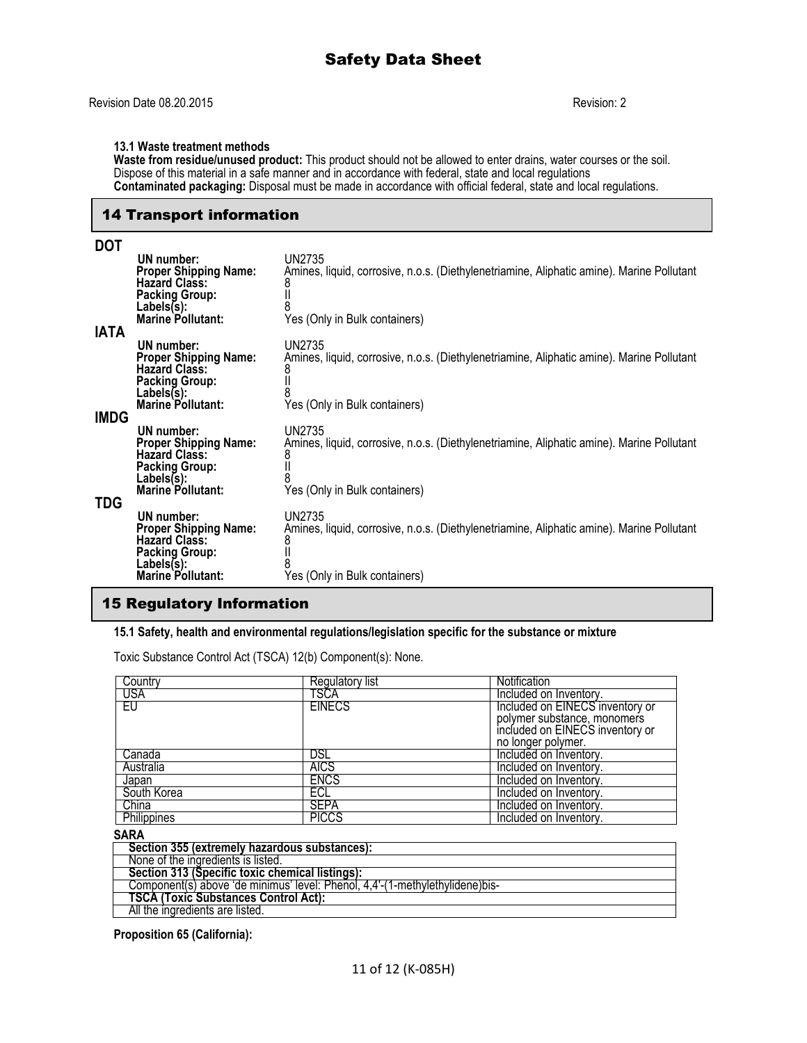#### **13.1 Waste treatment methods**

**Waste from residue/unused product:** This product should not be allowed to enter drains, water courses or the soil. Dispose of this material in a safe manner and in accordance with federal, state and local regulations **Contaminated packaging:** Disposal must be made in accordance with official federal, state and local regulations.

#### 14 Transport information

#### **DOT UN number:** UN2735 Amines, liquid, corrosive, n.o.s. (Diethylenetriamine, Aliphatic amine). Marine Pollutant<br>8 **Proper Shipping Name:** A<br>**Hazard Class:** 8<br>**Packing Group:** 1 **Packing Group:** II Labels(s):<br>Marine Pollutant: Yes (Only in Bulk containers) **IATA UN number:** UN2735<br>**Proper Shipping Name:** Amines, Amines, liquid, corrosive, n.o.s. (Diethylenetriamine, Aliphatic amine). Marine Pollutant<br>8 **Hazard Class:** 8 Packing Group: II<br>Labels(s): 8 Labels(s):<br>Marine Pollutant: Yes (Only in Bulk containers) **IMDG UN number:** UN2735<br>**Proper Shipping Name:** Amines, Amines, liquid, corrosive, n.o.s. (Diethylenetriamine, Aliphatic amine). Marine Pollutant<br>8 **Hazard Class:** 8 **Packing Group:** II Labels(s):<br>Marine Pollutant: Yes (Only in Bulk containers) **TDG UN number:** UN2735<br>**Proper Shipping Name:** Amines, Amines, liquid, corrosive, n.o.s. (Diethylenetriamine, Aliphatic amine). Marine Pollutant 8<br>8<br>II **Hazard Class:** 8 **Packing Group:** II Labels(s):<br>**Marine Pollutant:** Yes (Only in Bulk containers)

### 15 Regulatory Information

#### **15.1 Safety, health and environmental regulations/legislation specific for the substance or mixture**

Toxic Substance Control Act (TSCA) 12(b) Component(s): None.

| Country     | Regulatory list | Notification                    |
|-------------|-----------------|---------------------------------|
| USA         | TSCA            | Included on Inventory.          |
| EU          | <b>EINECS</b>   | Included on EINECS inventory or |
|             |                 | polymer substance, monomers     |
|             |                 | included on EINECS inventory or |
|             |                 | no longer polymer.              |
| Canada      | DSL             | Included on Inventory.          |
| Australia   | <b>AICS</b>     | Included on Inventory.          |
| Japan       | ENCS            | Included on Inventory.          |
| South Korea | ECL             | Included on Inventory.          |
| China       | <b>SEPA</b>     | Included on Inventory.          |
| Philippines | <b>PICCS</b>    | Included on Inventory.          |

#### **SARA**

| Section 355 (extremely hazardous substances):                                |
|------------------------------------------------------------------------------|
| None of the ingredients is listed.                                           |
| Section 313 (Specific toxic chemical listings):                              |
| Component(s) above 'de minimus' level: Phenol, 4,4'-(1-methylethylidene)bis- |
| <b>TSCA (Toxic Substances Control Act):</b>                                  |
| All the ingredients are listed.                                              |

**Proposition 65 (California):**